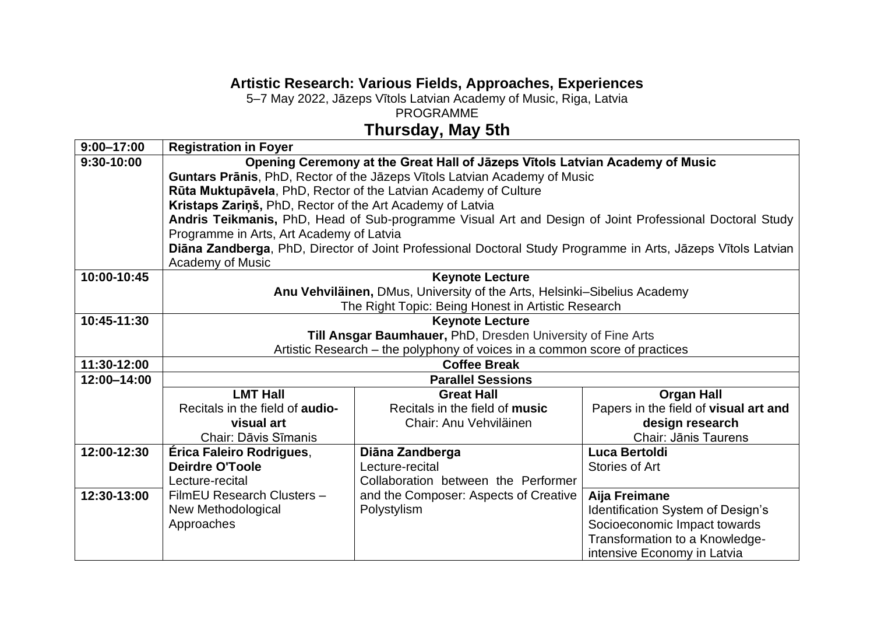## **Artistic Research: Various Fields, Approaches, Experiences**

5–7 May 2022, Jāzeps Vītols Latvian Academy of Music, Riga, Latvia

PROGRAMME

## **Thursday, May 5th**

| $9:00 - 17:00$ | <b>Registration in Foyer</b>                                                                                 |                                                                          |                                       |  |
|----------------|--------------------------------------------------------------------------------------------------------------|--------------------------------------------------------------------------|---------------------------------------|--|
| 9:30-10:00     | Opening Ceremony at the Great Hall of Jāzeps Vītols Latvian Academy of Music                                 |                                                                          |                                       |  |
|                | Guntars Prānis, PhD, Rector of the Jāzeps Vītols Latvian Academy of Music                                    |                                                                          |                                       |  |
|                |                                                                                                              | Rūta Muktupāvela, PhD, Rector of the Latvian Academy of Culture          |                                       |  |
|                | Kristaps Zariņš, PhD, Rector of the Art Academy of Latvia                                                    |                                                                          |                                       |  |
|                | Andris Teikmanis, PhD, Head of Sub-programme Visual Art and Design of Joint Professional Doctoral Study      |                                                                          |                                       |  |
|                | Programme in Arts, Art Academy of Latvia                                                                     |                                                                          |                                       |  |
|                | Diāna Zandberga, PhD, Director of Joint Professional Doctoral Study Programme in Arts, Jāzeps Vītols Latvian |                                                                          |                                       |  |
|                | <b>Academy of Music</b>                                                                                      |                                                                          |                                       |  |
| 10:00-10:45    |                                                                                                              | <b>Keynote Lecture</b>                                                   |                                       |  |
|                |                                                                                                              | Anu Vehviläinen, DMus, University of the Arts, Helsinki-Sibelius Academy |                                       |  |
| 10:45-11:30    |                                                                                                              | The Right Topic: Being Honest in Artistic Research                       |                                       |  |
|                |                                                                                                              | <b>Keynote Lecture</b>                                                   |                                       |  |
|                | Till Ansgar Baumhauer, PhD, Dresden University of Fine Arts                                                  |                                                                          |                                       |  |
| 11:30-12:00    | Artistic Research – the polyphony of voices in a common score of practices<br><b>Coffee Break</b>            |                                                                          |                                       |  |
| 12:00-14:00    | <b>Parallel Sessions</b>                                                                                     |                                                                          |                                       |  |
|                | <b>LMT Hall</b>                                                                                              | <b>Great Hall</b>                                                        | <b>Organ Hall</b>                     |  |
|                | Recitals in the field of <b>audio-</b>                                                                       | Recitals in the field of music                                           | Papers in the field of visual art and |  |
|                | visual art                                                                                                   | Chair: Anu Vehviläinen                                                   | design research                       |  |
|                | <b>Chair: Dāvis Sīmanis</b>                                                                                  |                                                                          | <b>Chair: Jānis Taurens</b>           |  |
| 12:00-12:30    | Érica Faleiro Rodrigues,                                                                                     | Diāna Zandberga                                                          | Luca Bertoldi                         |  |
|                | <b>Deirdre O'Toole</b>                                                                                       | Lecture-recital                                                          | <b>Stories of Art</b>                 |  |
|                | Lecture-recital                                                                                              | Collaboration between the Performer                                      |                                       |  |
| 12:30-13:00    | FilmEU Research Clusters -                                                                                   | and the Composer: Aspects of Creative                                    | Aija Freimane                         |  |
|                | New Methodological                                                                                           | Polystylism                                                              | Identification System of Design's     |  |
|                | Approaches                                                                                                   |                                                                          | Socioeconomic Impact towards          |  |
|                |                                                                                                              |                                                                          | Transformation to a Knowledge-        |  |
|                |                                                                                                              |                                                                          | intensive Economy in Latvia           |  |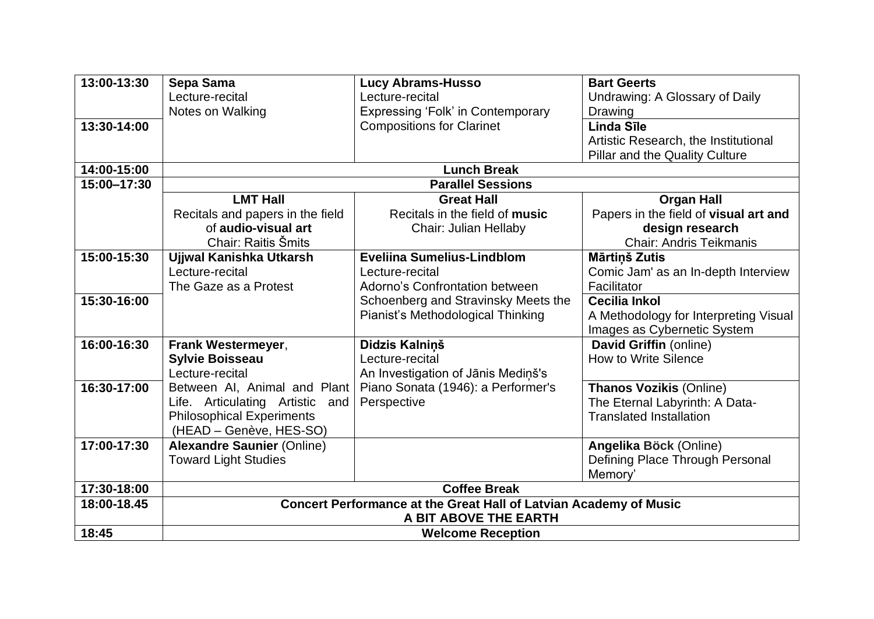| 13:00-13:30 | Sepa Sama                                                         | <b>Lucy Abrams-Husso</b>            | <b>Bart Geerts</b>                    |
|-------------|-------------------------------------------------------------------|-------------------------------------|---------------------------------------|
|             | Lecture-recital                                                   | Lecture-recital                     | Undrawing: A Glossary of Daily        |
|             | Notes on Walking                                                  | Expressing 'Folk' in Contemporary   | Drawing                               |
| 13:30-14:00 |                                                                   | <b>Compositions for Clarinet</b>    | <b>Linda Sīle</b>                     |
|             |                                                                   |                                     | Artistic Research, the Institutional  |
|             |                                                                   |                                     | <b>Pillar and the Quality Culture</b> |
| 14:00-15:00 |                                                                   | <b>Lunch Break</b>                  |                                       |
| 15:00-17:30 |                                                                   | <b>Parallel Sessions</b>            |                                       |
|             | <b>LMT Hall</b>                                                   | <b>Great Hall</b>                   | <b>Organ Hall</b>                     |
|             | Recitals and papers in the field                                  | Recitals in the field of music      | Papers in the field of visual art and |
|             | of audio-visual art                                               | <b>Chair: Julian Hellaby</b>        | design research                       |
|             | Chair: Raitis Šmits                                               |                                     | <b>Chair: Andris Teikmanis</b>        |
| 15:00-15:30 | Ujjwal Kanishka Utkarsh                                           | <b>Eveliina Sumelius-Lindblom</b>   | Mārtiņš Zutis                         |
|             | Lecture-recital                                                   | Lecture-recital                     | Comic Jam' as an In-depth Interview   |
|             | The Gaze as a Protest                                             | Adorno's Confrontation between      | Facilitator                           |
| 15:30-16:00 |                                                                   | Schoenberg and Stravinsky Meets the | <b>Cecilia Inkol</b>                  |
|             |                                                                   | Pianist's Methodological Thinking   | A Methodology for Interpreting Visual |
|             |                                                                   |                                     | Images as Cybernetic System           |
| 16:00-16:30 | Frank Westermeyer,                                                | Didzis Kalniņš                      | David Griffin (online)                |
|             | <b>Sylvie Boisseau</b>                                            | Lecture-recital                     | <b>How to Write Silence</b>           |
|             | Lecture-recital                                                   | An Investigation of Jānis Mediņš's  |                                       |
| 16:30-17:00 | Between AI, Animal and Plant                                      | Piano Sonata (1946): a Performer's  | <b>Thanos Vozikis (Online)</b>        |
|             | Life. Articulating Artistic<br>and                                | Perspective                         | The Eternal Labyrinth: A Data-        |
|             | <b>Philosophical Experiments</b>                                  |                                     | <b>Translated Installation</b>        |
|             | (HEAD - Genève, HES-SO)                                           |                                     |                                       |
| 17:00-17:30 | <b>Alexandre Saunier (Online)</b>                                 |                                     | Angelika Böck (Online)                |
|             | <b>Toward Light Studies</b>                                       |                                     | Defining Place Through Personal       |
|             |                                                                   |                                     | Memory'                               |
| 17:30-18:00 | <b>Coffee Break</b>                                               |                                     |                                       |
| 18:00-18.45 | Concert Performance at the Great Hall of Latvian Academy of Music |                                     |                                       |
|             | A BIT ABOVE THE EARTH                                             |                                     |                                       |
| 18:45       | <b>Welcome Reception</b>                                          |                                     |                                       |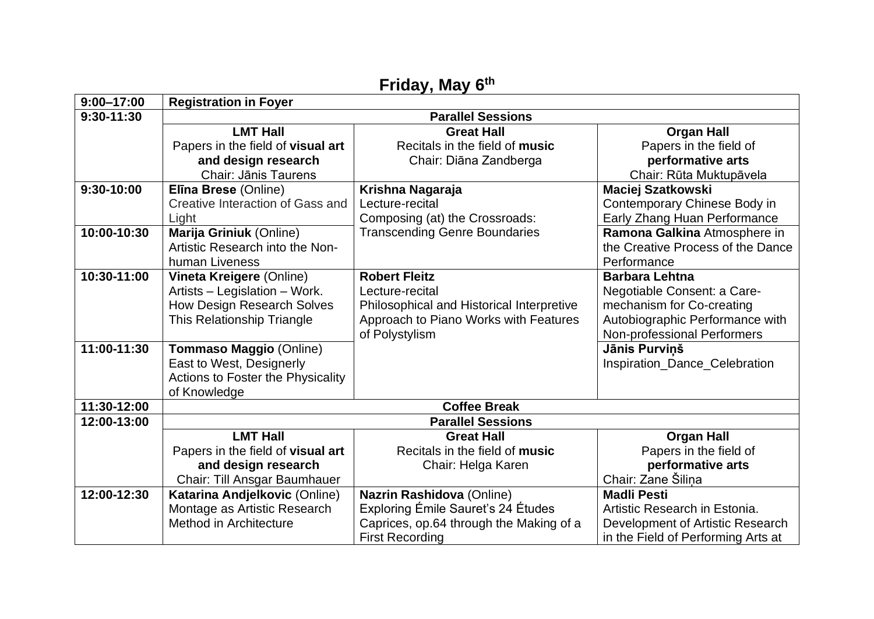| Friday, May 6th |                                   |                                           |                                    |  |
|-----------------|-----------------------------------|-------------------------------------------|------------------------------------|--|
| $9:00 - 17:00$  | <b>Registration in Foyer</b>      |                                           |                                    |  |
| 9:30-11:30      | <b>Parallel Sessions</b>          |                                           |                                    |  |
|                 | <b>LMT Hall</b>                   | <b>Great Hall</b>                         | <b>Organ Hall</b>                  |  |
|                 | Papers in the field of visual art | Recitals in the field of music            | Papers in the field of             |  |
|                 | and design research               | Chair: Diāna Zandberga                    | performative arts                  |  |
|                 | <b>Chair: Jānis Taurens</b>       |                                           | Chair: Rūta Muktupāvela            |  |
| 9:30-10:00      | Elīna Brese (Online)              | Krishna Nagaraja                          | <b>Maciej Szatkowski</b>           |  |
|                 | Creative Interaction of Gass and  | Lecture-recital                           | Contemporary Chinese Body in       |  |
|                 | Light                             | Composing (at) the Crossroads:            | Early Zhang Huan Performance       |  |
| 10:00-10:30     | Marija Griniuk (Online)           | <b>Transcending Genre Boundaries</b>      | Ramona Galkina Atmosphere in       |  |
|                 | Artistic Research into the Non-   |                                           | the Creative Process of the Dance  |  |
|                 | human Liveness                    |                                           | Performance                        |  |
| 10:30-11:00     | <b>Vineta Kreigere (Online)</b>   | <b>Robert Fleitz</b>                      | <b>Barbara Lehtna</b>              |  |
|                 | Artists - Legislation - Work.     | Lecture-recital                           | Negotiable Consent: a Care-        |  |
|                 | <b>How Design Research Solves</b> | Philosophical and Historical Interpretive | mechanism for Co-creating          |  |
|                 | This Relationship Triangle        | Approach to Piano Works with Features     | Autobiographic Performance with    |  |
|                 |                                   | of Polystylism                            | <b>Non-professional Performers</b> |  |
| 11:00-11:30     | Tommaso Maggio (Online)           |                                           | Jānis Purvinš                      |  |
|                 | East to West, Designerly          |                                           | Inspiration_Dance_Celebration      |  |
|                 | Actions to Foster the Physicality |                                           |                                    |  |
|                 | of Knowledge                      |                                           |                                    |  |
| 11:30-12:00     |                                   | <b>Coffee Break</b>                       |                                    |  |
| 12:00-13:00     | <b>Parallel Sessions</b>          |                                           |                                    |  |
|                 | <b>LMT Hall</b>                   | <b>Great Hall</b>                         | <b>Organ Hall</b>                  |  |
|                 | Papers in the field of visual art | Recitals in the field of music            | Papers in the field of             |  |
|                 | and design research               | Chair: Helga Karen                        | performative arts                  |  |
|                 | Chair: Till Ansgar Baumhauer      |                                           | Chair: Zane Šilina                 |  |
| 12:00-12:30     | Katarina Andjelkovic (Online)     | Nazrin Rashidova (Online)                 | <b>Madli Pesti</b>                 |  |
|                 | Montage as Artistic Research      | Exploring Émile Sauret's 24 Études        | Artistic Research in Estonia.      |  |
|                 | Method in Architecture            | Caprices, op.64 through the Making of a   | Development of Artistic Research   |  |
|                 |                                   | <b>First Recording</b>                    | in the Field of Performing Arts at |  |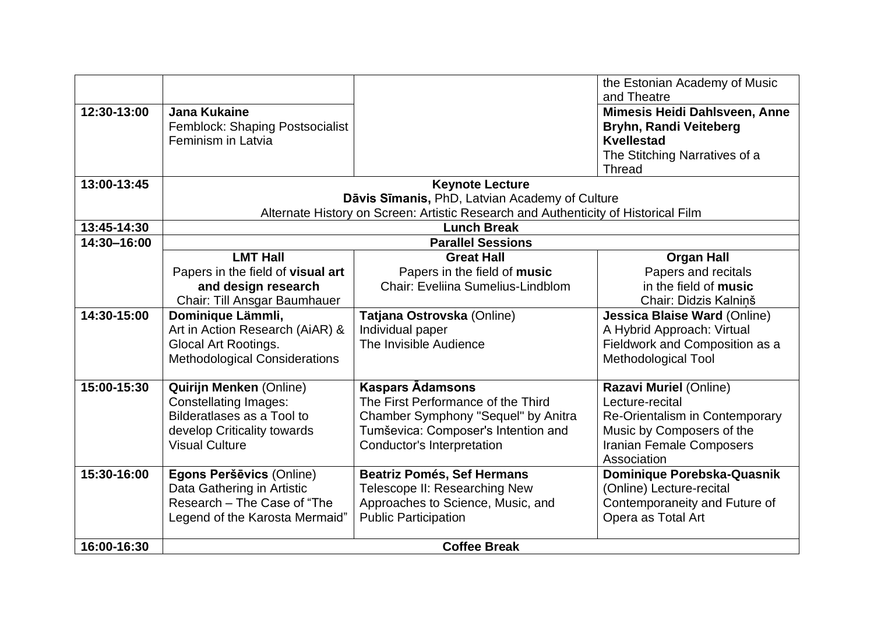|             |                                                       |                                                                                    | the Estonian Academy of Music<br>and Theatre   |
|-------------|-------------------------------------------------------|------------------------------------------------------------------------------------|------------------------------------------------|
| 12:30-13:00 | <b>Jana Kukaine</b>                                   |                                                                                    |                                                |
|             |                                                       |                                                                                    | Mimesis Heidi Dahlsveen, Anne                  |
|             | Femblock: Shaping Postsocialist<br>Feminism in Latvia |                                                                                    | Bryhn, Randi Veiteberg<br><b>Kvellestad</b>    |
|             |                                                       |                                                                                    |                                                |
|             |                                                       |                                                                                    | The Stitching Narratives of a<br><b>Thread</b> |
| 13:00-13:45 |                                                       | <b>Keynote Lecture</b>                                                             |                                                |
|             |                                                       | Dāvis Sīmanis, PhD, Latvian Academy of Culture                                     |                                                |
|             |                                                       | Alternate History on Screen: Artistic Research and Authenticity of Historical Film |                                                |
| 13:45-14:30 |                                                       | <b>Lunch Break</b>                                                                 |                                                |
| 14:30-16:00 |                                                       | <b>Parallel Sessions</b>                                                           |                                                |
|             | <b>LMT Hall</b>                                       | <b>Great Hall</b>                                                                  | <b>Organ Hall</b>                              |
|             | Papers in the field of visual art                     | Papers in the field of music                                                       | Papers and recitals                            |
|             | and design research                                   | Chair: Eveliina Sumelius-Lindblom                                                  | in the field of music                          |
|             | Chair: Till Ansgar Baumhauer                          |                                                                                    | Chair: Didzis Kalninš                          |
| 14:30-15:00 | Dominique Lämmli,                                     | Tatjana Ostrovska (Online)                                                         | <b>Jessica Blaise Ward (Online)</b>            |
|             | Art in Action Research (AiAR) &                       | Individual paper                                                                   | A Hybrid Approach: Virtual                     |
|             | Glocal Art Rootings.                                  | The Invisible Audience                                                             | Fieldwork and Composition as a                 |
|             | <b>Methodological Considerations</b>                  |                                                                                    | <b>Methodological Tool</b>                     |
| 15:00-15:30 | <b>Quirijn Menken (Online)</b>                        | <b>Kaspars Adamsons</b>                                                            | Razavi Muriel (Online)                         |
|             | <b>Constellating Images:</b>                          | The First Performance of the Third                                                 | Lecture-recital                                |
|             | Bilderatlases as a Tool to                            | Chamber Symphony "Sequel" by Anitra                                                | Re-Orientalism in Contemporary                 |
|             | develop Criticality towards                           | Tumševica: Composer's Intention and                                                | Music by Composers of the                      |
|             | <b>Visual Culture</b>                                 | <b>Conductor's Interpretation</b>                                                  | <b>Iranian Female Composers</b>                |
|             |                                                       |                                                                                    | Association                                    |
| 15:30-16:00 | Egons Peršēvics (Online)                              | <b>Beatriz Pomés, Sef Hermans</b>                                                  | Dominique Porebska-Quasnik                     |
|             | Data Gathering in Artistic                            | Telescope II: Researching New                                                      | (Online) Lecture-recital                       |
|             | Research - The Case of "The                           | Approaches to Science, Music, and                                                  | Contemporaneity and Future of                  |
|             | Legend of the Karosta Mermaid"                        | <b>Public Participation</b>                                                        | Opera as Total Art                             |
|             |                                                       |                                                                                    |                                                |
| 16:00-16:30 | <b>Coffee Break</b>                                   |                                                                                    |                                                |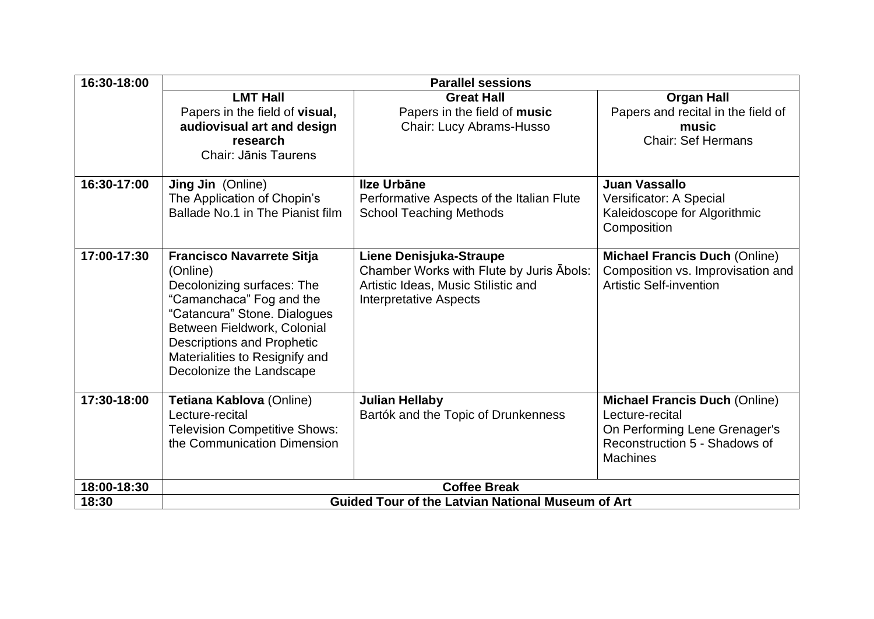| 16:30-18:00 | <b>Parallel sessions</b>                                 |                                                                     |                                                                           |  |
|-------------|----------------------------------------------------------|---------------------------------------------------------------------|---------------------------------------------------------------------------|--|
|             | <b>LMT Hall</b>                                          | <b>Great Hall</b>                                                   | <b>Organ Hall</b>                                                         |  |
|             | Papers in the field of visual,                           | Papers in the field of music                                        | Papers and recital in the field of                                        |  |
|             | audiovisual art and design                               | Chair: Lucy Abrams-Husso                                            | music                                                                     |  |
|             | research                                                 |                                                                     | <b>Chair: Sef Hermans</b>                                                 |  |
|             | Chair: Jānis Taurens                                     |                                                                     |                                                                           |  |
| 16:30-17:00 | <b>Jing Jin</b> (Online)                                 | Ilze Urbāne                                                         | Juan Vassallo                                                             |  |
|             | The Application of Chopin's                              | Performative Aspects of the Italian Flute                           | Versificator: A Special                                                   |  |
|             | Ballade No.1 in The Pianist film                         | <b>School Teaching Methods</b>                                      | Kaleidoscope for Algorithmic                                              |  |
|             |                                                          |                                                                     | Composition                                                               |  |
|             |                                                          |                                                                     |                                                                           |  |
| 17:00-17:30 | <b>Francisco Navarrete Sitja</b><br>(Online)             | Liene Denisjuka-Straupe<br>Chamber Works with Flute by Juris Abols: | <b>Michael Francis Duch (Online)</b><br>Composition vs. Improvisation and |  |
|             | Decolonizing surfaces: The                               | Artistic Ideas, Music Stilistic and                                 | <b>Artistic Self-invention</b>                                            |  |
|             | "Camanchaca" Fog and the                                 | <b>Interpretative Aspects</b>                                       |                                                                           |  |
|             | "Catancura" Stone. Dialogues                             |                                                                     |                                                                           |  |
|             | Between Fieldwork, Colonial                              |                                                                     |                                                                           |  |
|             | <b>Descriptions and Prophetic</b>                        |                                                                     |                                                                           |  |
|             | Materialities to Resignify and                           |                                                                     |                                                                           |  |
|             | Decolonize the Landscape                                 |                                                                     |                                                                           |  |
|             |                                                          |                                                                     |                                                                           |  |
| 17:30-18:00 | Tetiana Kablova (Online)                                 | <b>Julian Hellaby</b>                                               | <b>Michael Francis Duch (Online)</b>                                      |  |
|             | Lecture-recital                                          | Bartók and the Topic of Drunkenness                                 | Lecture-recital                                                           |  |
|             | <b>Television Competitive Shows:</b>                     |                                                                     | On Performing Lene Grenager's                                             |  |
|             | the Communication Dimension                              |                                                                     | Reconstruction 5 - Shadows of                                             |  |
|             |                                                          |                                                                     | <b>Machines</b>                                                           |  |
| 18:00-18:30 | <b>Coffee Break</b>                                      |                                                                     |                                                                           |  |
| 18:30       | <b>Guided Tour of the Latvian National Museum of Art</b> |                                                                     |                                                                           |  |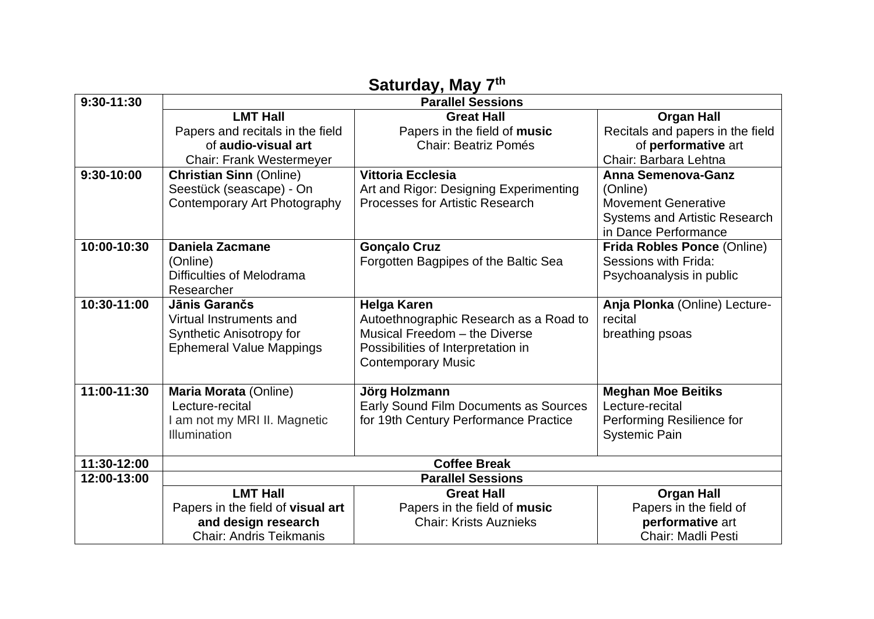| Jaluruay, may <i>r</i> |                                   |                                        |                                      |  |
|------------------------|-----------------------------------|----------------------------------------|--------------------------------------|--|
| 9:30-11:30             | <b>Parallel Sessions</b>          |                                        |                                      |  |
|                        | <b>LMT Hall</b>                   | <b>Great Hall</b>                      | <b>Organ Hall</b>                    |  |
|                        | Papers and recitals in the field  | Papers in the field of music           | Recitals and papers in the field     |  |
|                        | of audio-visual art               | <b>Chair: Beatriz Pomés</b>            | of performative art                  |  |
|                        | <b>Chair: Frank Westermeyer</b>   |                                        | Chair: Barbara Lehtna                |  |
| 9:30-10:00             | <b>Christian Sinn (Online)</b>    | <b>Vittoria Ecclesia</b>               | <b>Anna Semenova-Ganz</b>            |  |
|                        | Seestück (seascape) - On          | Art and Rigor: Designing Experimenting | (Online)                             |  |
|                        | Contemporary Art Photography      | <b>Processes for Artistic Research</b> | <b>Movement Generative</b>           |  |
|                        |                                   |                                        | <b>Systems and Artistic Research</b> |  |
|                        |                                   |                                        | in Dance Performance                 |  |
| 10:00-10:30            | <b>Daniela Zacmane</b>            | <b>Gonçalo Cruz</b>                    | Frida Robles Ponce (Online)          |  |
|                        | (Online)                          | Forgotten Bagpipes of the Baltic Sea   | Sessions with Frida:                 |  |
|                        | Difficulties of Melodrama         |                                        | Psychoanalysis in public             |  |
|                        | Researcher                        |                                        |                                      |  |
| 10:30-11:00            | Jānis Garančs                     | <b>Helga Karen</b>                     | Anja Plonka (Online) Lecture-        |  |
|                        | Virtual Instruments and           | Autoethnographic Research as a Road to | recital                              |  |
|                        | Synthetic Anisotropy for          | Musical Freedom - the Diverse          | breathing psoas                      |  |
|                        | <b>Ephemeral Value Mappings</b>   | Possibilities of Interpretation in     |                                      |  |
|                        |                                   | <b>Contemporary Music</b>              |                                      |  |
|                        |                                   |                                        |                                      |  |
| 11:00-11:30            | Maria Morata (Online)             | Jörg Holzmann                          | <b>Meghan Moe Beitiks</b>            |  |
|                        | Lecture-recital                   | Early Sound Film Documents as Sources  | Lecture-recital                      |  |
|                        | am not my MRI II. Magnetic        | for 19th Century Performance Practice  | Performing Resilience for            |  |
|                        | Illumination                      |                                        | <b>Systemic Pain</b>                 |  |
|                        |                                   |                                        |                                      |  |
| 11:30-12:00            | <b>Coffee Break</b>               |                                        |                                      |  |
| 12:00-13:00            | <b>Parallel Sessions</b>          |                                        |                                      |  |
|                        | <b>LMT Hall</b>                   | <b>Great Hall</b>                      | <b>Organ Hall</b>                    |  |
|                        | Papers in the field of visual art | Papers in the field of music           | Papers in the field of               |  |
|                        | and design research               | <b>Chair: Krists Auznieks</b>          | performative art                     |  |
|                        | <b>Chair: Andris Teikmanis</b>    |                                        | <b>Chair: Madli Pesti</b>            |  |

## **Saturday, May 7th**